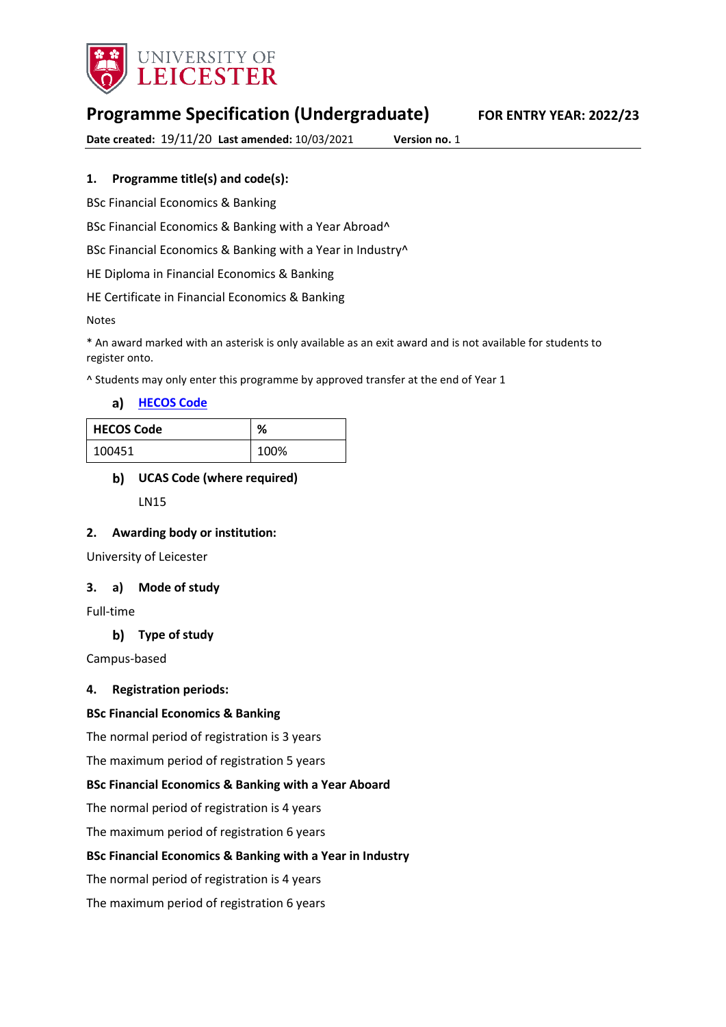

# **Programme Specification (Undergraduate) FOR ENTRY YEAR: 2022/23**

**Date created:** 19/11/20 **Last amended:** 10/03/2021 **Version no.** 1

#### **1. Programme title(s) and code(s):**

BSc Financial Economics & Banking

BSc Financial Economics & Banking with a Year Abroad^

BSc Financial Economics & Banking with a Year in Industry^

HE Diploma in Financial Economics & Banking

HE Certificate in Financial Economics & Banking

Notes

\* An award marked with an asterisk is only available as an exit award and is not available for students to register onto.

^ Students may only enter this programme by approved transfer at the end of Year 1

**[HECOS Code](https://www.hesa.ac.uk/innovation/hecos)**

| <b>HECOS Code</b> | %    |
|-------------------|------|
| 100451            | 100% |

### **UCAS Code (where required)** LN15

#### **2. Awarding body or institution:**

University of Leicester

#### **3. a) Mode of study**

Full-time

#### **Type of study**

Campus-based

#### **4. Registration periods:**

#### **BSc Financial Economics & Banking**

The normal period of registration is 3 years

The maximum period of registration 5 years

#### **BSc Financial Economics & Banking with a Year Aboard**

The normal period of registration is 4 years

The maximum period of registration 6 years

#### **BSc Financial Economics & Banking with a Year in Industry**

The normal period of registration is 4 years

The maximum period of registration 6 years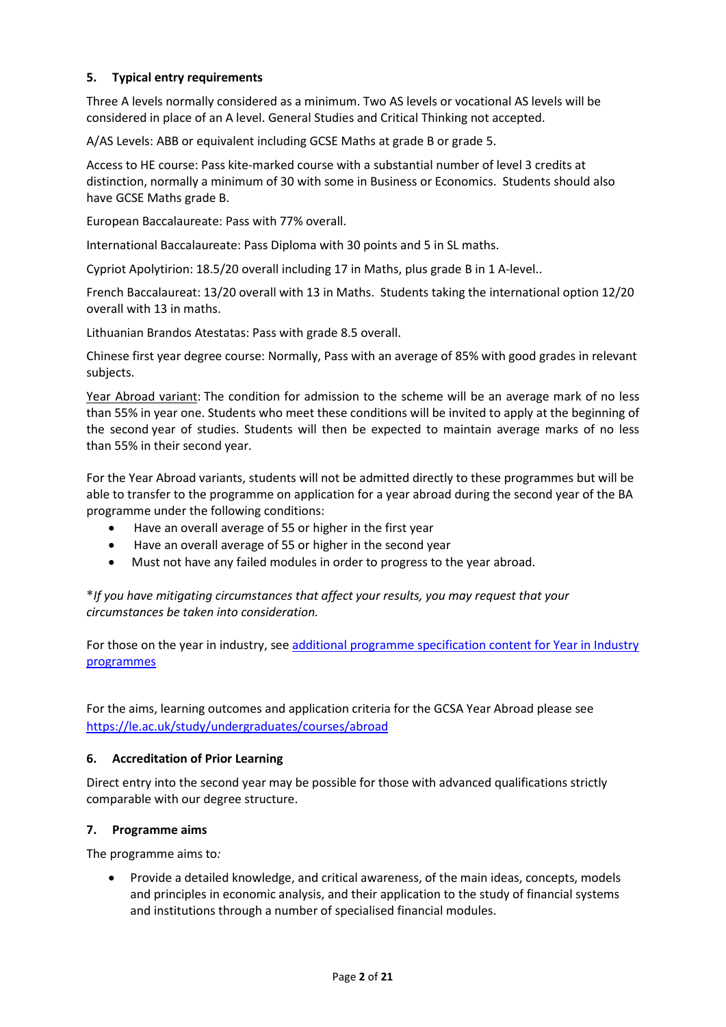#### **5. Typical entry requirements**

Three A levels normally considered as a minimum. Two AS levels or vocational AS levels will be considered in place of an A level. General Studies and Critical Thinking not accepted.

A/AS Levels: ABB or equivalent including GCSE Maths at grade B or grade 5.

Access to HE course: Pass kite-marked course with a substantial number of level 3 credits at distinction, normally a minimum of 30 with some in Business or Economics. Students should also have GCSE Maths grade B.

European Baccalaureate: Pass with 77% overall.

International Baccalaureate: Pass Diploma with 30 points and 5 in SL maths.

Cypriot Apolytirion: 18.5/20 overall including 17 in Maths, plus grade B in 1 A-level..

French Baccalaureat: 13/20 overall with 13 in Maths. Students taking the international option 12/20 overall with 13 in maths.

Lithuanian Brandos Atestatas: Pass with grade 8.5 overall.

Chinese first year degree course: Normally, Pass with an average of 85% with good grades in relevant subjects.

Year Abroad variant: The condition for admission to the scheme will be an average mark of no less than 55% in year one. Students who meet these conditions will be invited to apply at the beginning of the second year of studies. Students will then be expected to maintain average marks of no less than 55% in their second year.

For the Year Abroad variants, students will not be admitted directly to these programmes but will be able to transfer to the programme on application for a year abroad during the second year of the BA programme under the following conditions:

- Have an overall average of 55 or higher in the first year
- Have an overall average of 55 or higher in the second year
- Must not have any failed modules in order to progress to the year abroad.

**\****If you have mitigating circumstances that affect your results, you may request that your circumstances be taken into consideration.*

For those on the year in industry, see additional programme specification content for Year in Industry [programmes](https://www2.le.ac.uk/offices/sas2/courses/documentation/undergraduate-programme-specification-content-for-year-in-industry-programme-variants)

For the aims, learning outcomes and application criteria for the GCSA Year Abroad please see <https://le.ac.uk/study/undergraduates/courses/abroad>

#### **6. Accreditation of Prior Learning**

Direct entry into the second year may be possible for those with advanced qualifications strictly comparable with our degree structure.

#### **7. Programme aims**

The programme aims to*:*

• Provide a detailed knowledge, and critical awareness, of the main ideas, concepts, models and principles in economic analysis, and their application to the study of financial systems and institutions through a number of specialised financial modules.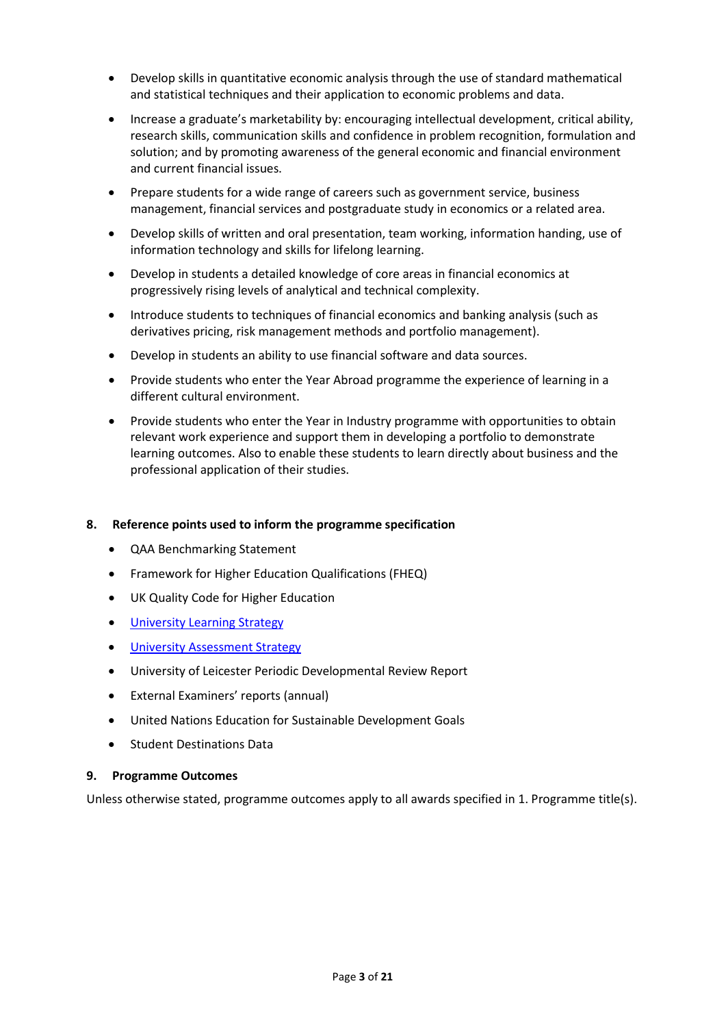- Develop skills in quantitative economic analysis through the use of standard mathematical and statistical techniques and their application to economic problems and data.
- Increase a graduate's marketability by: encouraging intellectual development, critical ability, research skills, communication skills and confidence in problem recognition, formulation and solution; and by promoting awareness of the general economic and financial environment and current financial issues.
- Prepare students for a wide range of careers such as government service, business management, financial services and postgraduate study in economics or a related area.
- Develop skills of written and oral presentation, team working, information handing, use of information technology and skills for lifelong learning.
- Develop in students a detailed knowledge of core areas in financial economics at progressively rising levels of analytical and technical complexity.
- Introduce students to techniques of financial economics and banking analysis (such as derivatives pricing, risk management methods and portfolio management).
- Develop in students an ability to use financial software and data sources.
- Provide students who enter the Year Abroad programme the experience of learning in a different cultural environment.
- Provide students who enter the Year in Industry programme with opportunities to obtain relevant work experience and support them in developing a portfolio to demonstrate learning outcomes. Also to enable these students to learn directly about business and the professional application of their studies.

#### **8. Reference points used to inform the programme specification**

- QAA Benchmarking Statement
- Framework for Higher Education Qualifications (FHEQ)
- UK Quality Code for Higher Education
- University Learnin[g Strategy](https://www2.le.ac.uk/offices/sas2/quality/learnteach)
- [University Assessment Strategy](https://www2.le.ac.uk/offices/sas2/quality/learnteach)
- University of Leicester Periodic Developmental Review Report
- External Examiners' reports (annual)
- United Nations Education for Sustainable Development Goals
- Student Destinations Data

#### **9. Programme Outcomes**

Unless otherwise stated, programme outcomes apply to all awards specified in 1. Programme title(s).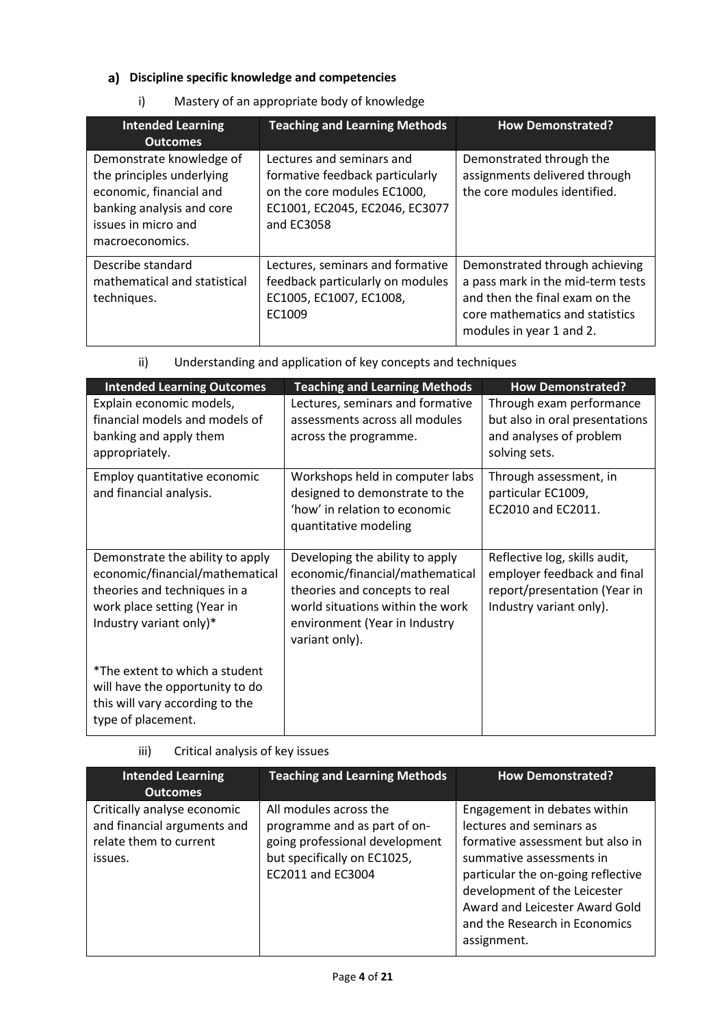### **Discipline specific knowledge and competencies**

i) Mastery of an appropriate body of knowledge

| <b>Intended Learning</b><br><b>Outcomes</b>                                                                                                             | <b>Teaching and Learning Methods</b>                                                                                                        | <b>How Demonstrated?</b>                                                                                                                                             |
|---------------------------------------------------------------------------------------------------------------------------------------------------------|---------------------------------------------------------------------------------------------------------------------------------------------|----------------------------------------------------------------------------------------------------------------------------------------------------------------------|
| Demonstrate knowledge of<br>the principles underlying<br>economic, financial and<br>banking analysis and core<br>issues in micro and<br>macroeconomics. | Lectures and seminars and<br>formative feedback particularly<br>on the core modules EC1000,<br>EC1001, EC2045, EC2046, EC3077<br>and EC3058 | Demonstrated through the<br>assignments delivered through<br>the core modules identified.                                                                            |
| Describe standard<br>mathematical and statistical<br>techniques.                                                                                        | Lectures, seminars and formative<br>feedback particularly on modules<br>EC1005, EC1007, EC1008,<br>EC1009                                   | Demonstrated through achieving<br>a pass mark in the mid-term tests<br>and then the final exam on the<br>core mathematics and statistics<br>modules in year 1 and 2. |

| <b>Intended Learning Outcomes</b>                                                                                                                             | <b>Teaching and Learning Methods</b>                                                                                                                                                       | <b>How Demonstrated?</b>                                                                                                |
|---------------------------------------------------------------------------------------------------------------------------------------------------------------|--------------------------------------------------------------------------------------------------------------------------------------------------------------------------------------------|-------------------------------------------------------------------------------------------------------------------------|
| Explain economic models,<br>financial models and models of<br>banking and apply them<br>appropriately.                                                        | Lectures, seminars and formative<br>assessments across all modules<br>across the programme.                                                                                                | Through exam performance<br>but also in oral presentations<br>and analyses of problem<br>solving sets.                  |
| Employ quantitative economic<br>and financial analysis.                                                                                                       | Workshops held in computer labs<br>designed to demonstrate to the<br>'how' in relation to economic<br>quantitative modeling                                                                | Through assessment, in<br>particular EC1009,<br>EC2010 and EC2011.                                                      |
| Demonstrate the ability to apply<br>economic/financial/mathematical<br>theories and techniques in a<br>work place setting (Year in<br>Industry variant only)* | Developing the ability to apply<br>economic/financial/mathematical<br>theories and concepts to real<br>world situations within the work<br>environment (Year in Industry<br>variant only). | Reflective log, skills audit,<br>employer feedback and final<br>report/presentation (Year in<br>Industry variant only). |
| *The extent to which a student<br>will have the opportunity to do<br>this will vary according to the<br>type of placement.                                    |                                                                                                                                                                                            |                                                                                                                         |

ii) Understanding and application of key concepts and techniques

iii) Critical analysis of key issues

| <b>Intended Learning</b><br><b>Outcomes</b>                                                     | <b>Teaching and Learning Methods</b>                                                                                                         | <b>How Demonstrated?</b>                                                                                                                                                                                                                                                         |
|-------------------------------------------------------------------------------------------------|----------------------------------------------------------------------------------------------------------------------------------------------|----------------------------------------------------------------------------------------------------------------------------------------------------------------------------------------------------------------------------------------------------------------------------------|
| Critically analyse economic<br>and financial arguments and<br>relate them to current<br>issues. | All modules across the<br>programme and as part of on-<br>going professional development<br>but specifically on EC1025,<br>EC2011 and EC3004 | Engagement in debates within<br>lectures and seminars as<br>formative assessment but also in<br>summative assessments in<br>particular the on-going reflective<br>development of the Leicester<br>Award and Leicester Award Gold<br>and the Research in Economics<br>assignment. |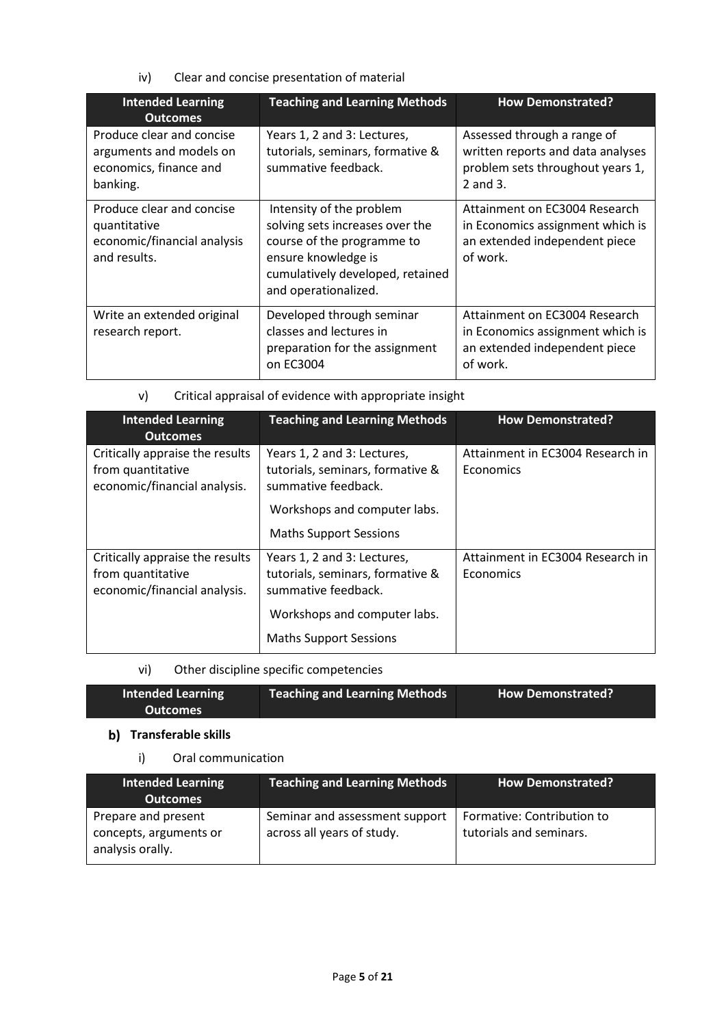iv) Clear and concise presentation of material

| <b>Intended Learning</b><br><b>Outcomes</b>                                                | <b>Teaching and Learning Methods</b>                                                                                                                                         | <b>How Demonstrated?</b>                                                                                         |
|--------------------------------------------------------------------------------------------|------------------------------------------------------------------------------------------------------------------------------------------------------------------------------|------------------------------------------------------------------------------------------------------------------|
| Produce clear and concise<br>arguments and models on<br>economics, finance and<br>banking. | Years 1, 2 and 3: Lectures,<br>tutorials, seminars, formative &<br>summative feedback.                                                                                       | Assessed through a range of<br>written reports and data analyses<br>problem sets throughout years 1,<br>2 and 3. |
| Produce clear and concise<br>quantitative<br>economic/financial analysis<br>and results.   | Intensity of the problem<br>solving sets increases over the<br>course of the programme to<br>ensure knowledge is<br>cumulatively developed, retained<br>and operationalized. | Attainment on EC3004 Research<br>in Economics assignment which is<br>an extended independent piece<br>of work.   |
| Write an extended original<br>research report.                                             | Developed through seminar<br>classes and lectures in<br>preparation for the assignment<br>on EC3004                                                                          | Attainment on EC3004 Research<br>in Economics assignment which is<br>an extended independent piece<br>of work.   |

| v) |  |  | Critical appraisal of evidence with appropriate insight |  |
|----|--|--|---------------------------------------------------------|--|
|    |  |  |                                                         |  |

| <b>Intended Learning</b><br><b>Outcomes</b>                                          | <b>Teaching and Learning Methods</b>                                                                                                                    | <b>How Demonstrated?</b>                      |
|--------------------------------------------------------------------------------------|---------------------------------------------------------------------------------------------------------------------------------------------------------|-----------------------------------------------|
| Critically appraise the results<br>from quantitative<br>economic/financial analysis. | Years 1, 2 and 3: Lectures,<br>tutorials, seminars, formative &<br>summative feedback.<br>Workshops and computer labs.<br><b>Maths Support Sessions</b> | Attainment in EC3004 Research in<br>Economics |
| Critically appraise the results<br>from quantitative<br>economic/financial analysis. | Years 1, 2 and 3: Lectures,<br>tutorials, seminars, formative &<br>summative feedback.<br>Workshops and computer labs.<br><b>Maths Support Sessions</b> | Attainment in EC3004 Research in<br>Economics |

### vi) Other discipline specific competencies

| <b>Intended Learning</b> | Teaching and Learning Methods | <b>How Demonstrated?</b> |
|--------------------------|-------------------------------|--------------------------|
| <b>Outcomes</b>          |                               |                          |

#### **b)** Transferable skills

┃

### i) Oral communication

| <b>Intended Learning</b><br><b>Outcomes</b>                       | Teaching and Learning Methods                                | <b>How Demonstrated?</b>                              |
|-------------------------------------------------------------------|--------------------------------------------------------------|-------------------------------------------------------|
| Prepare and present<br>concepts, arguments or<br>analysis orally. | Seminar and assessment support<br>across all years of study. | Formative: Contribution to<br>tutorials and seminars. |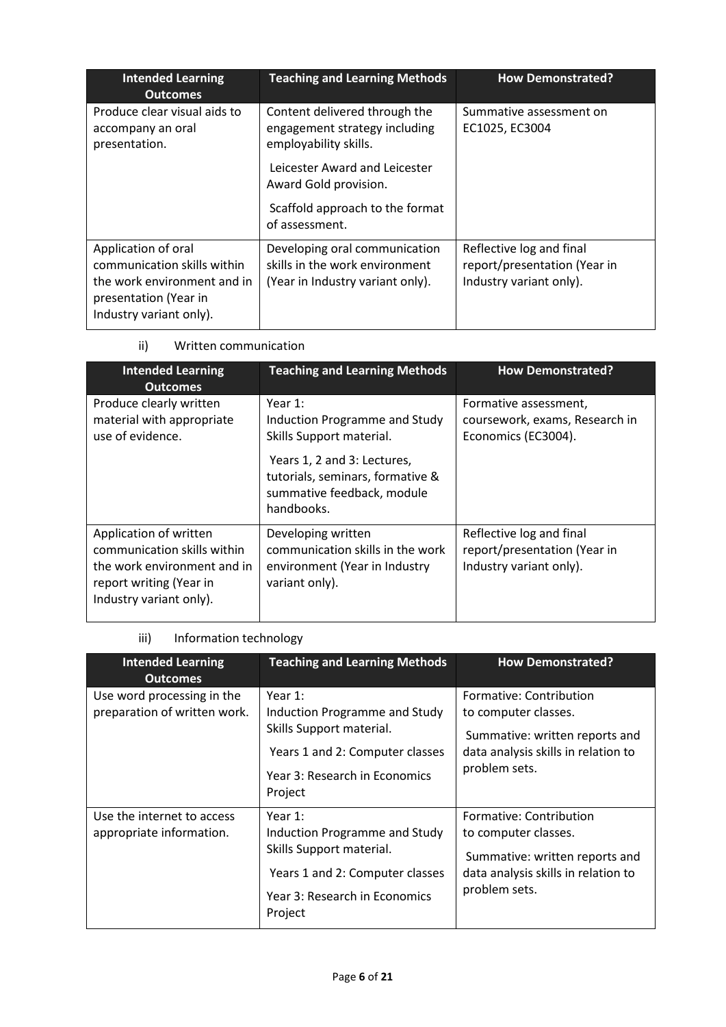| <b>Intended Learning</b><br><b>Outcomes</b>                                                                                           | <b>Teaching and Learning Methods</b>                                                                | <b>How Demonstrated?</b>                                                            |
|---------------------------------------------------------------------------------------------------------------------------------------|-----------------------------------------------------------------------------------------------------|-------------------------------------------------------------------------------------|
| Produce clear visual aids to<br>accompany an oral<br>presentation.                                                                    | Content delivered through the<br>engagement strategy including<br>employability skills.             | Summative assessment on<br>EC1025, EC3004                                           |
|                                                                                                                                       | Leicester Award and Leicester<br>Award Gold provision.                                              |                                                                                     |
|                                                                                                                                       | Scaffold approach to the format<br>of assessment.                                                   |                                                                                     |
| Application of oral<br>communication skills within<br>the work environment and in<br>presentation (Year in<br>Industry variant only). | Developing oral communication<br>skills in the work environment<br>(Year in Industry variant only). | Reflective log and final<br>report/presentation (Year in<br>Industry variant only). |

### ii) Written communication

| <b>Intended Learning</b><br><b>Outcomes</b>                                                                                                | <b>Teaching and Learning Methods</b>                                                                        | <b>How Demonstrated?</b>                                                            |
|--------------------------------------------------------------------------------------------------------------------------------------------|-------------------------------------------------------------------------------------------------------------|-------------------------------------------------------------------------------------|
| Produce clearly written<br>material with appropriate<br>use of evidence.                                                                   | Year $1$ :<br>Induction Programme and Study<br>Skills Support material.                                     | Formative assessment,<br>coursework, exams, Research in<br>Economics (EC3004).      |
|                                                                                                                                            | Years 1, 2 and 3: Lectures,<br>tutorials, seminars, formative &<br>summative feedback, module<br>handbooks. |                                                                                     |
| Application of written<br>communication skills within<br>the work environment and in<br>report writing (Year in<br>Industry variant only). | Developing written<br>communication skills in the work<br>environment (Year in Industry<br>variant only).   | Reflective log and final<br>report/presentation (Year in<br>Industry variant only). |

### iii) Information technology

| <b>Intended Learning</b><br><b>Outcomes</b>                | <b>Teaching and Learning Methods</b>                                                                                                                | <b>How Demonstrated?</b>                                                                                                                  |
|------------------------------------------------------------|-----------------------------------------------------------------------------------------------------------------------------------------------------|-------------------------------------------------------------------------------------------------------------------------------------------|
| Use word processing in the<br>preparation of written work. | Year 1:<br>Induction Programme and Study<br>Skills Support material.<br>Years 1 and 2: Computer classes<br>Year 3: Research in Economics<br>Project | Formative: Contribution<br>to computer classes.<br>Summative: written reports and<br>data analysis skills in relation to<br>problem sets. |
| Use the internet to access<br>appropriate information.     | Year 1:<br>Induction Programme and Study<br>Skills Support material.<br>Years 1 and 2: Computer classes<br>Year 3: Research in Economics<br>Project | Formative: Contribution<br>to computer classes.<br>Summative: written reports and<br>data analysis skills in relation to<br>problem sets. |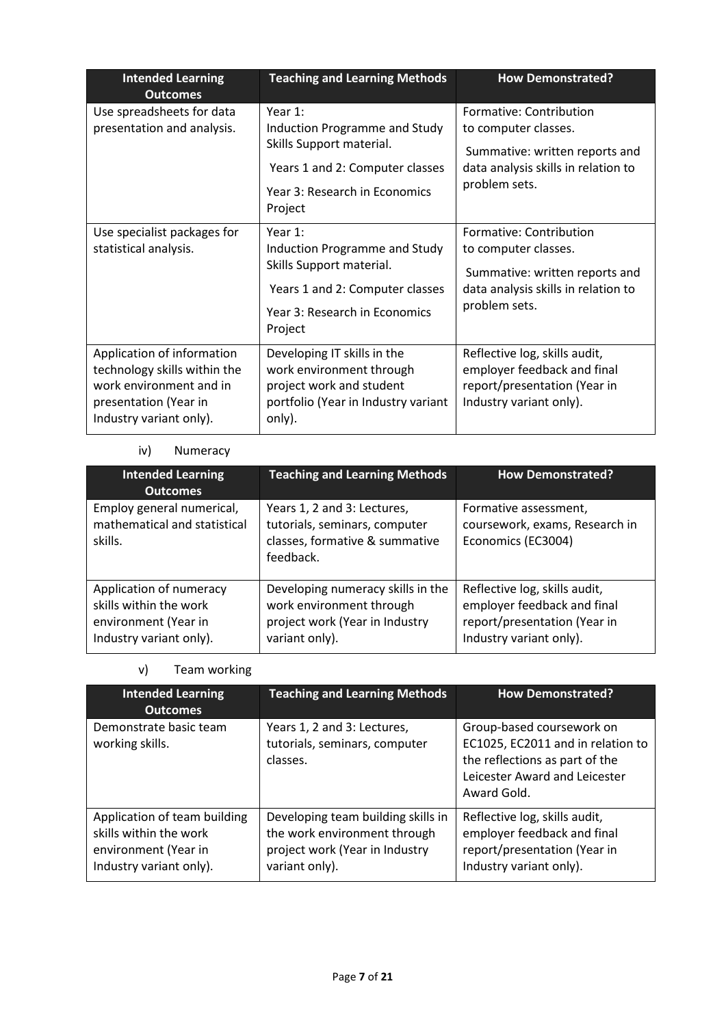| <b>Intended Learning</b><br><b>Outcomes</b>                                                                                               | <b>Teaching and Learning Methods</b>                                                                                                                | <b>How Demonstrated?</b>                                                                                                                  |
|-------------------------------------------------------------------------------------------------------------------------------------------|-----------------------------------------------------------------------------------------------------------------------------------------------------|-------------------------------------------------------------------------------------------------------------------------------------------|
| Use spreadsheets for data<br>presentation and analysis.                                                                                   | Year 1:<br>Induction Programme and Study<br>Skills Support material.<br>Years 1 and 2: Computer classes<br>Year 3: Research in Economics<br>Project | Formative: Contribution<br>to computer classes.<br>Summative: written reports and<br>data analysis skills in relation to<br>problem sets. |
| Use specialist packages for<br>statistical analysis.                                                                                      | Year 1:<br>Induction Programme and Study<br>Skills Support material.<br>Years 1 and 2: Computer classes<br>Year 3: Research in Economics<br>Project | Formative: Contribution<br>to computer classes.<br>Summative: written reports and<br>data analysis skills in relation to<br>problem sets. |
| Application of information<br>technology skills within the<br>work environment and in<br>presentation (Year in<br>Industry variant only). | Developing IT skills in the<br>work environment through<br>project work and student<br>portfolio (Year in Industry variant<br>only).                | Reflective log, skills audit,<br>employer feedback and final<br>report/presentation (Year in<br>Industry variant only).                   |

### iv) Numeracy

| <b>Intended Learning</b><br><b>Outcomes</b>                                                          | <b>Teaching and Learning Methods</b>                                                                              | <b>How Demonstrated?</b>                                                                                                |  |
|------------------------------------------------------------------------------------------------------|-------------------------------------------------------------------------------------------------------------------|-------------------------------------------------------------------------------------------------------------------------|--|
| Employ general numerical,<br>mathematical and statistical<br>skills.                                 | Years 1, 2 and 3: Lectures,<br>tutorials, seminars, computer<br>classes, formative & summative<br>feedback.       | Formative assessment,<br>coursework, exams, Research in<br>Economics (EC3004)                                           |  |
| Application of numeracy<br>skills within the work<br>environment (Year in<br>Industry variant only). | Developing numeracy skills in the<br>work environment through<br>project work (Year in Industry<br>variant only). | Reflective log, skills audit,<br>employer feedback and final<br>report/presentation (Year in<br>Industry variant only). |  |

### v) Team working

| <b>Intended Learning</b><br><b>Outcomes</b>                                                               | <b>Teaching and Learning Methods</b>                                                                                   | <b>How Demonstrated?</b>                                                                                                                         |
|-----------------------------------------------------------------------------------------------------------|------------------------------------------------------------------------------------------------------------------------|--------------------------------------------------------------------------------------------------------------------------------------------------|
| Demonstrate basic team<br>working skills.                                                                 | Years 1, 2 and 3: Lectures,<br>tutorials, seminars, computer<br>classes.                                               | Group-based coursework on<br>EC1025, EC2011 and in relation to<br>the reflections as part of the<br>Leicester Award and Leicester<br>Award Gold. |
| Application of team building<br>skills within the work<br>environment (Year in<br>Industry variant only). | Developing team building skills in<br>the work environment through<br>project work (Year in Industry<br>variant only). | Reflective log, skills audit,<br>employer feedback and final<br>report/presentation (Year in<br>Industry variant only).                          |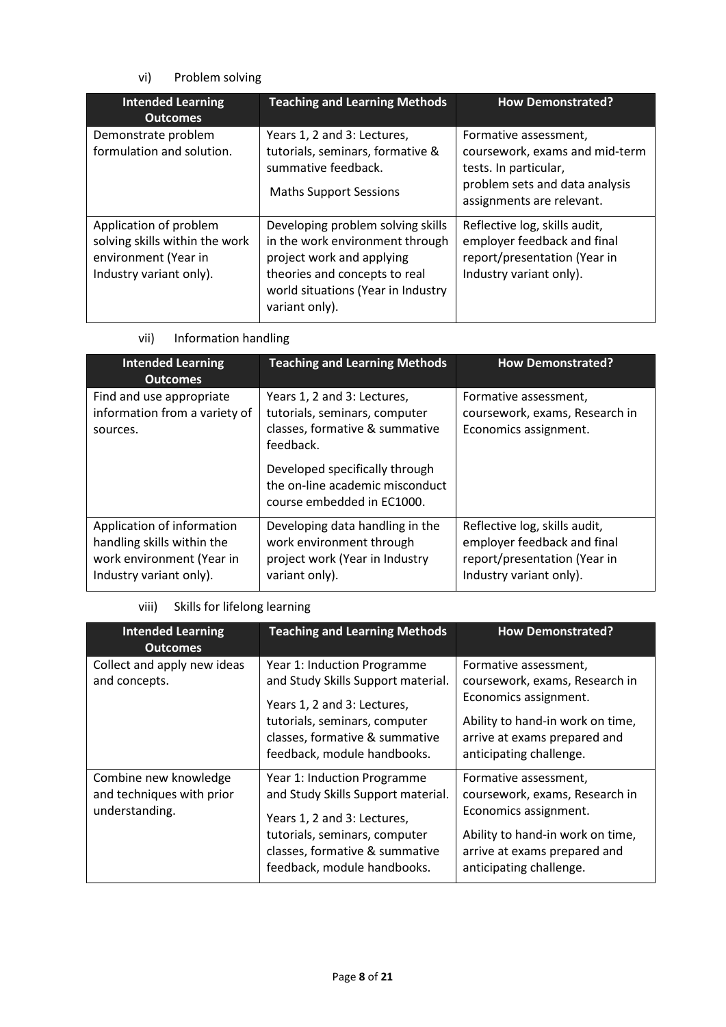### vi) Problem solving

| <b>Intended Learning</b><br><b>Outcomes</b>                                                                 | <b>Teaching and Learning Methods</b>                                                                                                                                                       | <b>How Demonstrated?</b>                                                                                                                        |  |
|-------------------------------------------------------------------------------------------------------------|--------------------------------------------------------------------------------------------------------------------------------------------------------------------------------------------|-------------------------------------------------------------------------------------------------------------------------------------------------|--|
| Demonstrate problem<br>formulation and solution.                                                            | Years 1, 2 and 3: Lectures,<br>tutorials, seminars, formative &<br>summative feedback.<br><b>Maths Support Sessions</b>                                                                    | Formative assessment,<br>coursework, exams and mid-term<br>tests. In particular,<br>problem sets and data analysis<br>assignments are relevant. |  |
| Application of problem<br>solving skills within the work<br>environment (Year in<br>Industry variant only). | Developing problem solving skills<br>in the work environment through<br>project work and applying<br>theories and concepts to real<br>world situations (Year in Industry<br>variant only). | Reflective log, skills audit,<br>employer feedback and final<br>report/presentation (Year in<br>Industry variant only).                         |  |

### vii) Information handling

| <b>Intended Learning</b><br><b>Outcomes</b>                                                                      | <b>Teaching and Learning Methods</b>                                                                            | <b>How Demonstrated?</b>                                                                                                |
|------------------------------------------------------------------------------------------------------------------|-----------------------------------------------------------------------------------------------------------------|-------------------------------------------------------------------------------------------------------------------------|
| Find and use appropriate<br>information from a variety of<br>sources.                                            | Years 1, 2 and 3: Lectures,<br>tutorials, seminars, computer<br>classes, formative & summative<br>feedback.     | Formative assessment,<br>coursework, exams, Research in<br>Economics assignment.                                        |
|                                                                                                                  | Developed specifically through<br>the on-line academic misconduct<br>course embedded in EC1000.                 |                                                                                                                         |
| Application of information<br>handling skills within the<br>work environment (Year in<br>Industry variant only). | Developing data handling in the<br>work environment through<br>project work (Year in Industry<br>variant only). | Reflective log, skills audit,<br>employer feedback and final<br>report/presentation (Year in<br>Industry variant only). |

### viii) Skills for lifelong learning

| <b>Intended Learning</b><br><b>Outcomes</b>                          | <b>Teaching and Learning Methods</b>                                                                                                                                                               | <b>How Demonstrated?</b>                                                                                                                                                        |
|----------------------------------------------------------------------|----------------------------------------------------------------------------------------------------------------------------------------------------------------------------------------------------|---------------------------------------------------------------------------------------------------------------------------------------------------------------------------------|
| Collect and apply new ideas<br>and concepts.                         | Year 1: Induction Programme<br>and Study Skills Support material.<br>Years 1, 2 and 3: Lectures,<br>tutorials, seminars, computer<br>classes, formative & summative<br>feedback, module handbooks. | Formative assessment,<br>coursework, exams, Research in<br>Economics assignment.<br>Ability to hand-in work on time,<br>arrive at exams prepared and<br>anticipating challenge. |
| Combine new knowledge<br>and techniques with prior<br>understanding. | Year 1: Induction Programme<br>and Study Skills Support material.<br>Years 1, 2 and 3: Lectures,<br>tutorials, seminars, computer<br>classes, formative & summative<br>feedback, module handbooks. | Formative assessment,<br>coursework, exams, Research in<br>Economics assignment.<br>Ability to hand-in work on time,<br>arrive at exams prepared and<br>anticipating challenge. |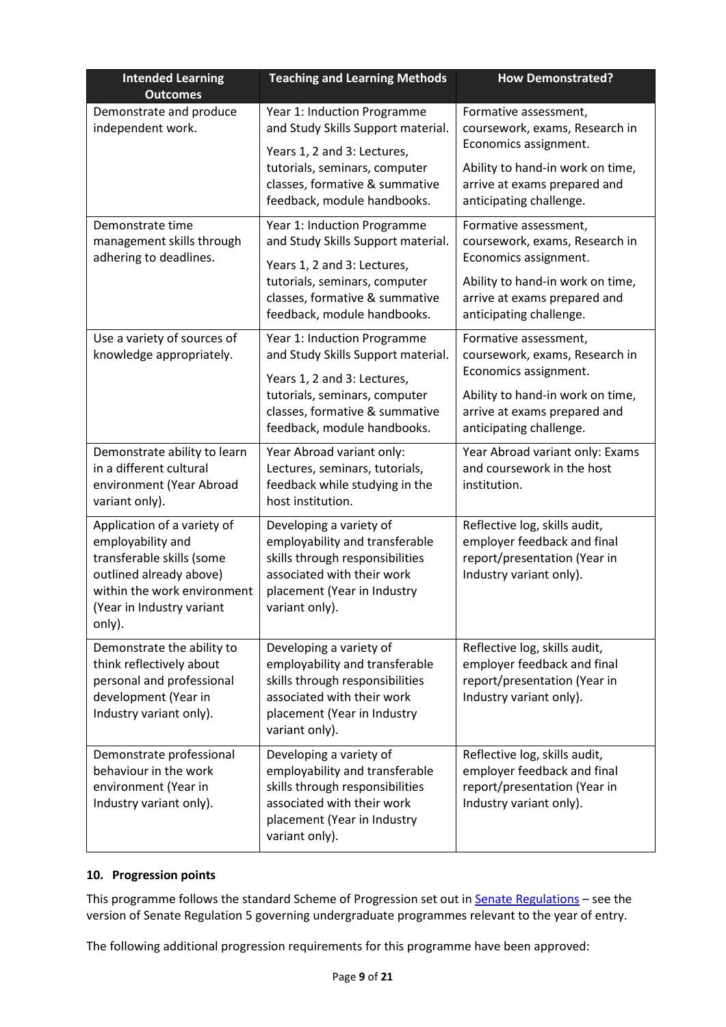| <b>Intended Learning</b><br><b>Outcomes</b>                                                                                                                                    | <b>Teaching and Learning Methods</b>                                                                                                                                        | <b>How Demonstrated?</b>                                                                                                |
|--------------------------------------------------------------------------------------------------------------------------------------------------------------------------------|-----------------------------------------------------------------------------------------------------------------------------------------------------------------------------|-------------------------------------------------------------------------------------------------------------------------|
| Demonstrate and produce<br>independent work.                                                                                                                                   | Year 1: Induction Programme<br>and Study Skills Support material.<br>Years 1, 2 and 3: Lectures,<br>tutorials, seminars, computer                                           | Formative assessment,<br>coursework, exams, Research in<br>Economics assignment.<br>Ability to hand-in work on time,    |
|                                                                                                                                                                                | classes, formative & summative<br>feedback, module handbooks.                                                                                                               | arrive at exams prepared and<br>anticipating challenge.                                                                 |
| Demonstrate time<br>management skills through<br>adhering to deadlines.                                                                                                        | Year 1: Induction Programme<br>and Study Skills Support material.<br>Years 1, 2 and 3: Lectures,                                                                            | Formative assessment,<br>coursework, exams, Research in<br>Economics assignment.                                        |
|                                                                                                                                                                                | tutorials, seminars, computer<br>classes, formative & summative<br>feedback, module handbooks.                                                                              | Ability to hand-in work on time,<br>arrive at exams prepared and<br>anticipating challenge.                             |
| Use a variety of sources of<br>knowledge appropriately.                                                                                                                        | Year 1: Induction Programme<br>and Study Skills Support material.<br>Years 1, 2 and 3: Lectures,                                                                            | Formative assessment,<br>coursework, exams, Research in<br>Economics assignment.                                        |
|                                                                                                                                                                                | tutorials, seminars, computer<br>classes, formative & summative<br>feedback, module handbooks.                                                                              | Ability to hand-in work on time,<br>arrive at exams prepared and<br>anticipating challenge.                             |
| Demonstrate ability to learn<br>in a different cultural<br>environment (Year Abroad<br>variant only).                                                                          | Year Abroad variant only:<br>Lectures, seminars, tutorials,<br>feedback while studying in the<br>host institution.                                                          | Year Abroad variant only: Exams<br>and coursework in the host<br>institution.                                           |
| Application of a variety of<br>employability and<br>transferable skills (some<br>outlined already above)<br>within the work environment<br>(Year in Industry variant<br>only). | Developing a variety of<br>employability and transferable<br>skills through responsibilities<br>associated with their work<br>placement (Year in Industry<br>variant only). | Reflective log, skills audit,<br>employer feedback and final<br>report/presentation (Year in<br>Industry variant only). |
| Demonstrate the ability to<br>think reflectively about<br>personal and professional<br>development (Year in<br>Industry variant only).                                         | Developing a variety of<br>employability and transferable<br>skills through responsibilities<br>associated with their work<br>placement (Year in Industry<br>variant only). | Reflective log, skills audit,<br>employer feedback and final<br>report/presentation (Year in<br>Industry variant only). |
| Demonstrate professional<br>behaviour in the work<br>environment (Year in<br>Industry variant only).                                                                           | Developing a variety of<br>employability and transferable<br>skills through responsibilities<br>associated with their work<br>placement (Year in Industry<br>variant only). | Reflective log, skills audit,<br>employer feedback and final<br>report/presentation (Year in<br>Industry variant only). |

### **10. Progression points**

This programme follows the standard Scheme of Progression set out in **Senate Regulations** - see the version of Senate Regulation 5 governing undergraduate programmes relevant to the year of entry.

The following additional progression requirements for this programme have been approved: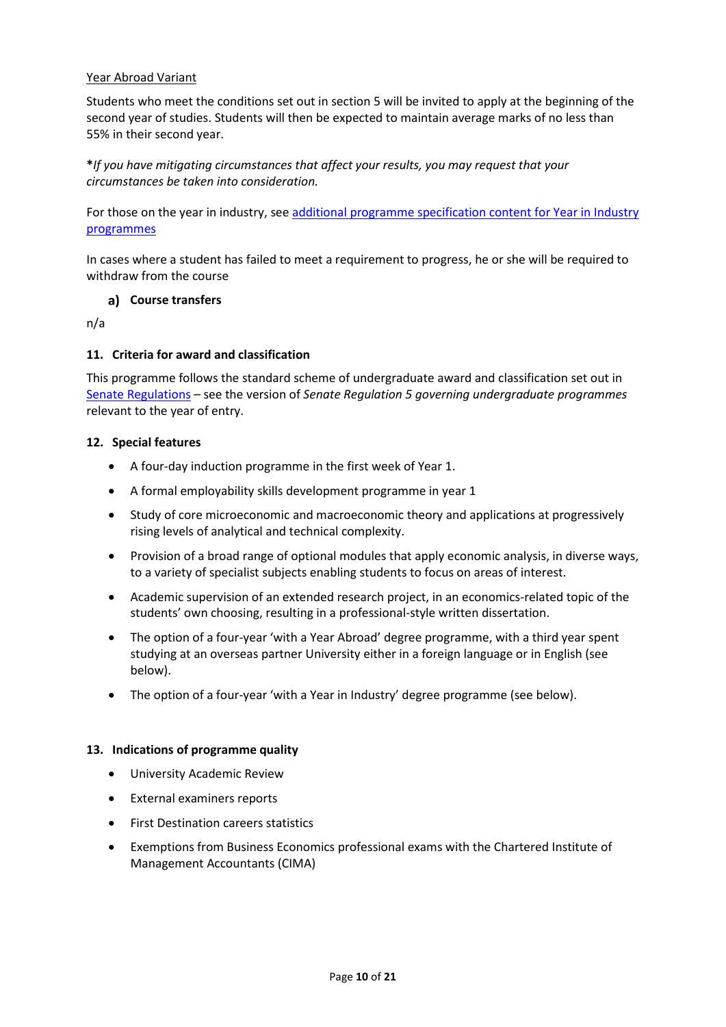#### Year Abroad Variant

Students who meet the conditions set out in section 5 will be invited to apply at the beginning of the second year of studies. Students will then be expected to maintain average marks of no less than 55% in their second year.

**\****If you have mitigating circumstances that affect your results, you may request that your circumstances be taken into consideration.*

For those on the year in industry, se[e additional programme specification content for Year in Industry](https://www2.le.ac.uk/offices/sas2/courses/documentation/undergraduate-programme-specification-content-for-year-in-industry-programme-variants)  [programmes](https://www2.le.ac.uk/offices/sas2/courses/documentation/undergraduate-programme-specification-content-for-year-in-industry-programme-variants)

In cases where a student has failed to meet a requirement to progress, he or she will be required to withdraw from the course

#### **Course transfers**

n/a

#### **11. Criteria for award and classification**

This programme follows the standard scheme of undergraduate award and classification set out in [Senate Regulations](http://www.le.ac.uk/senate-regulations) – see the version of *Senate Regulation 5 governing undergraduate programmes* relevant to the year of entry.

#### **12. Special features**

- A four-day induction programme in the first week of Year 1.
- A formal employability skills development programme in year 1
- Study of core microeconomic and macroeconomic theory and applications at progressively rising levels of analytical and technical complexity.
- Provision of a broad range of optional modules that apply economic analysis, in diverse ways, to a variety of specialist subjects enabling students to focus on areas of interest.
- Academic supervision of an extended research project, in an economics-related topic of the students' own choosing, resulting in a professional-style written dissertation.
- The option of a four-year 'with a Year Abroad' degree programme, with a third year spent studying at an overseas partner University either in a foreign language or in English (see below).
- The option of a four-year 'with a Year in Industry' degree programme (see below).

#### **13. Indications of programme quality**

- University Academic Review
- External examiners reports
- First Destination careers statistics
- Exemptions from Business Economics professional exams with the Chartered Institute of Management Accountants (CIMA)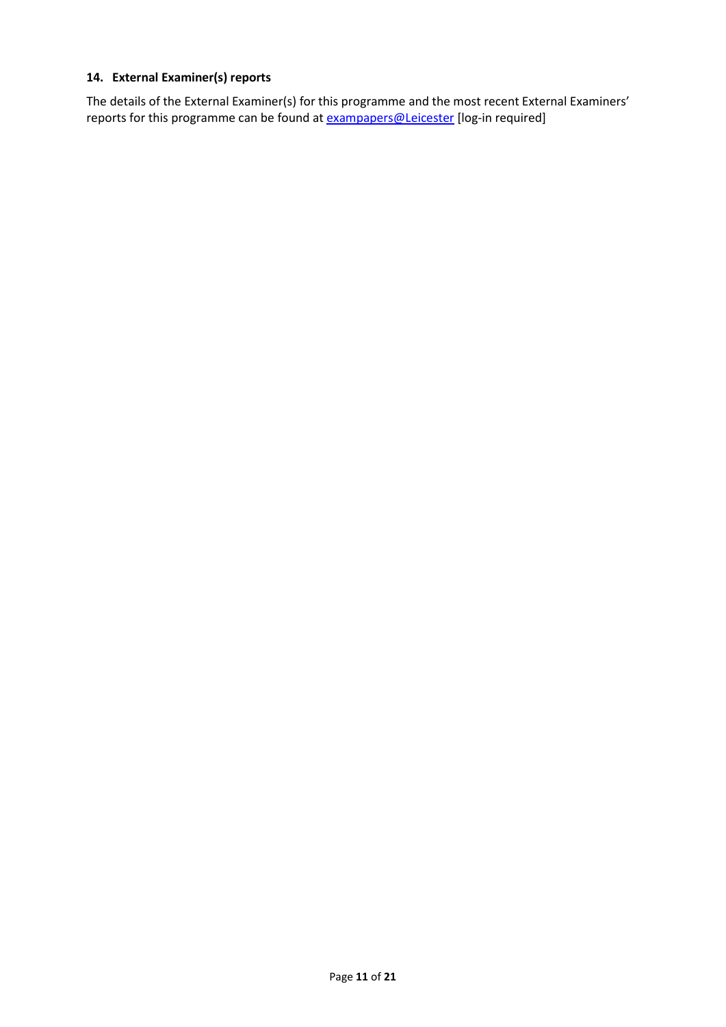### **14. External Examiner(s) reports**

The details of the External Examiner(s) for this programme and the most recent External Examiners' reports for this programme can be found at **[exampapers@Leicester](https://exampapers.le.ac.uk/)** [log-in required]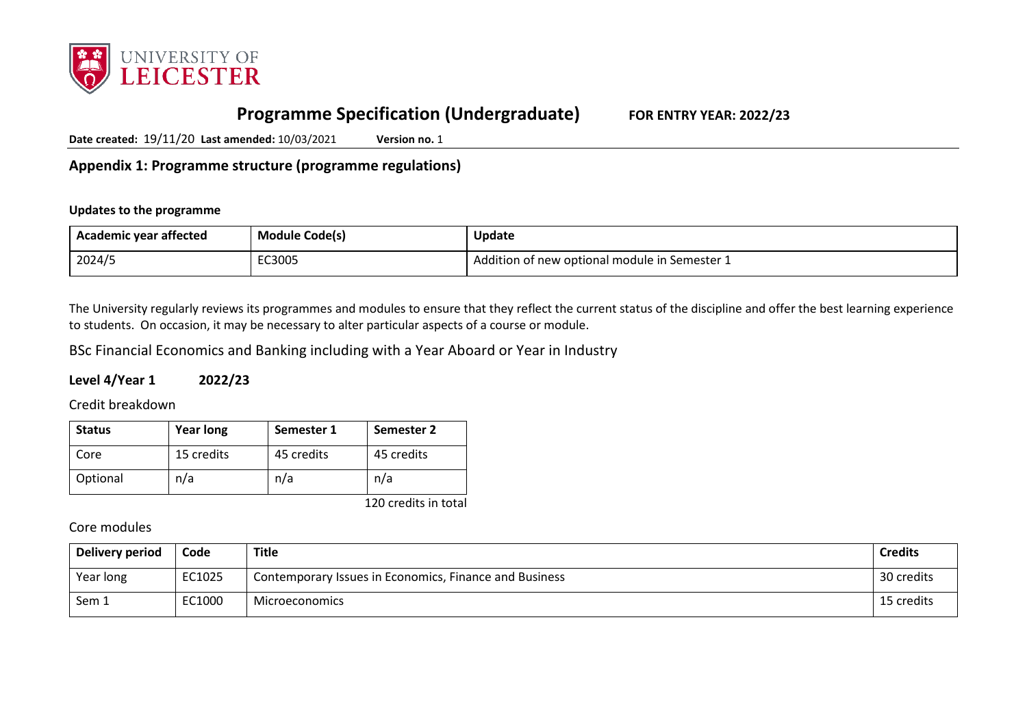

# **Programme Specification (Undergraduate) FOR ENTRY YEAR: 2022/23**

**Date created:** 19/11/20 **Last amended:** 10/03/2021 **Version no.** 1

**Appendix 1: Programme structure (programme regulations)**

#### **Updates to the programme**

| Academic year affected | <b>Module Code(s)</b> | <b>Update</b>                                 |
|------------------------|-----------------------|-----------------------------------------------|
| 2024/5                 | EC3005                | ڈ Addition of new optional module in Semester |

The University regularly reviews its programmes and modules to ensure that they reflect the current status of the discipline and offer the best learning experience to students. On occasion, it may be necessary to alter particular aspects of a course or module.

BSc Financial Economics and Banking including with a Year Aboard or Year in Industry

### **Level 4/Year 1 2022/23**

Credit breakdown

| <b>Status</b> | <b>Year long</b> | Semester 1 | Semester 2 |
|---------------|------------------|------------|------------|
| Core          | 15 credits       | 45 credits | 45 credits |
| Optional      | n/a              | n/a        | n/a        |

120 credits in total

Core modules

| Delivery period | Code   | <b>Title</b>                                           | <b>Credits</b> |
|-----------------|--------|--------------------------------------------------------|----------------|
| Year long       | EC1025 | Contemporary Issues in Economics, Finance and Business | 30 credits     |
| Sem 1           | EC1000 | Microeconomics                                         | 15 credits     |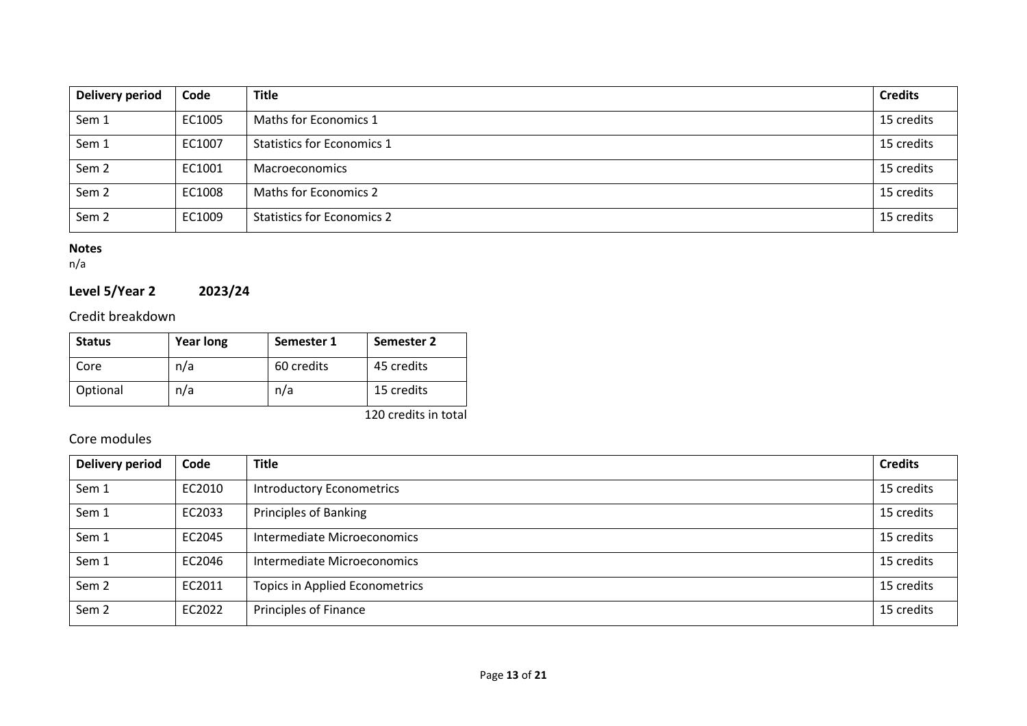| Delivery period  | Code   | <b>Title</b>                      | <b>Credits</b> |
|------------------|--------|-----------------------------------|----------------|
| Sem 1            | EC1005 | Maths for Economics 1             | 15 credits     |
| Sem 1            | EC1007 | <b>Statistics for Economics 1</b> | 15 credits     |
| Sem <sub>2</sub> | EC1001 | <b>Macroeconomics</b>             | 15 credits     |
| Sem <sub>2</sub> | EC1008 | Maths for Economics 2             | 15 credits     |
| Sem <sub>2</sub> | EC1009 | <b>Statistics for Economics 2</b> | 15 credits     |

#### **Notes**

n/a

# **Level 5/Year 2 2023/24**

### Credit breakdown

| <b>Status</b> | <b>Year long</b> | Semester 1 | Semester 2 |
|---------------|------------------|------------|------------|
| Core          | n/a              | 60 credits | 45 credits |
| Optional      | n/a              | n/a        | 15 credits |

120 credits in total

## Core modules

| <b>Delivery period</b> | Code   | <b>Title</b>                          | <b>Credits</b> |
|------------------------|--------|---------------------------------------|----------------|
| Sem 1                  | EC2010 | <b>Introductory Econometrics</b>      | 15 credits     |
| Sem 1                  | EC2033 | <b>Principles of Banking</b>          | 15 credits     |
| Sem 1                  | EC2045 | Intermediate Microeconomics           | 15 credits     |
| Sem 1                  | EC2046 | Intermediate Microeconomics           | 15 credits     |
| Sem <sub>2</sub>       | EC2011 | <b>Topics in Applied Econometrics</b> | 15 credits     |
| Sem <sub>2</sub>       | EC2022 | Principles of Finance                 | 15 credits     |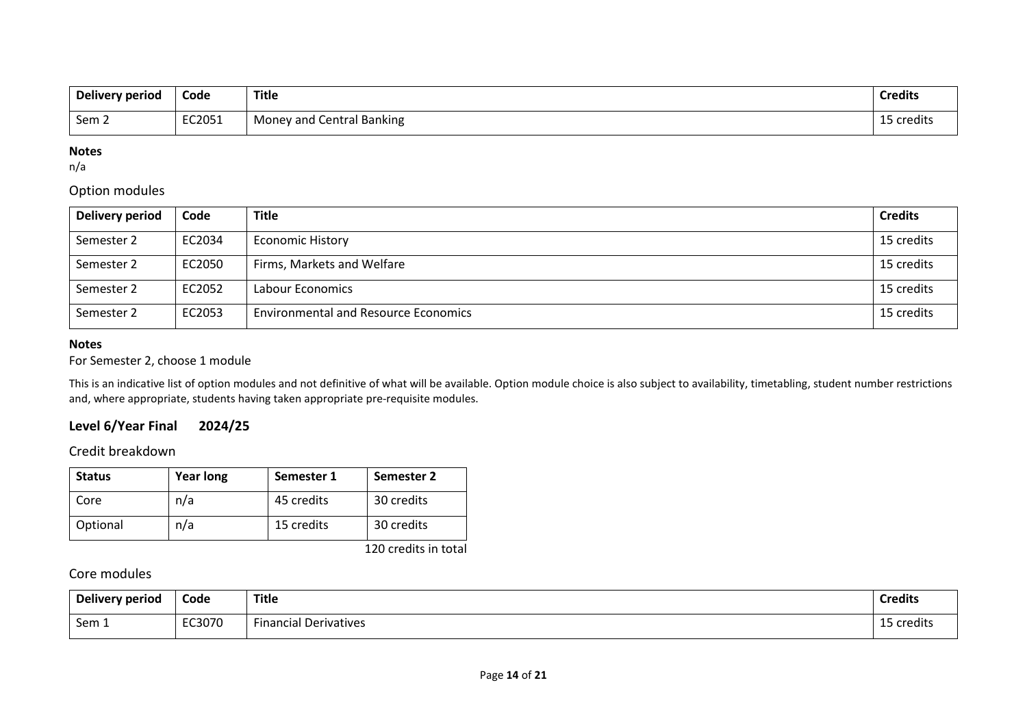| Delivery period | Code   | Title                          | <b>Credits</b> |
|-----------------|--------|--------------------------------|----------------|
| Sem 2           | EC2051 | Central Banking<br>Money and C | credits        |

#### **Notes**

n/a

### Option modules

| Delivery period | Code   | <b>Title</b>                                | <b>Credits</b> |
|-----------------|--------|---------------------------------------------|----------------|
| Semester 2      | EC2034 | <b>Economic History</b>                     | 15 credits     |
| Semester 2      | EC2050 | Firms, Markets and Welfare                  | 15 credits     |
| Semester 2      | EC2052 | Labour Economics                            | 15 credits     |
| Semester 2      | EC2053 | <b>Environmental and Resource Economics</b> | 15 credits     |

#### **Notes**

For Semester 2, choose 1 module

This is an indicative list of option modules and not definitive of what will be available. Option module choice is also subject to availability, timetabling, student number restrictions and, where appropriate, students having taken appropriate pre-requisite modules.

### **Level 6/Year Final 2024/25**

Credit breakdown

| <b>Status</b> | <b>Year long</b> | Semester 1 | Semester 2 |
|---------------|------------------|------------|------------|
| Core          | n/a              | 45 credits | 30 credits |
| Optional      | n/a              | 15 credits | 30 credits |

120 credits in total

### Core modules

| Delivery period | Code   | <b>Title</b>                       | <b>Credits</b>          |
|-----------------|--------|------------------------------------|-------------------------|
| Sem 1           | EC3070 | --<br><b>Financial Derivatives</b> | <b>Croolit</b><br>euits |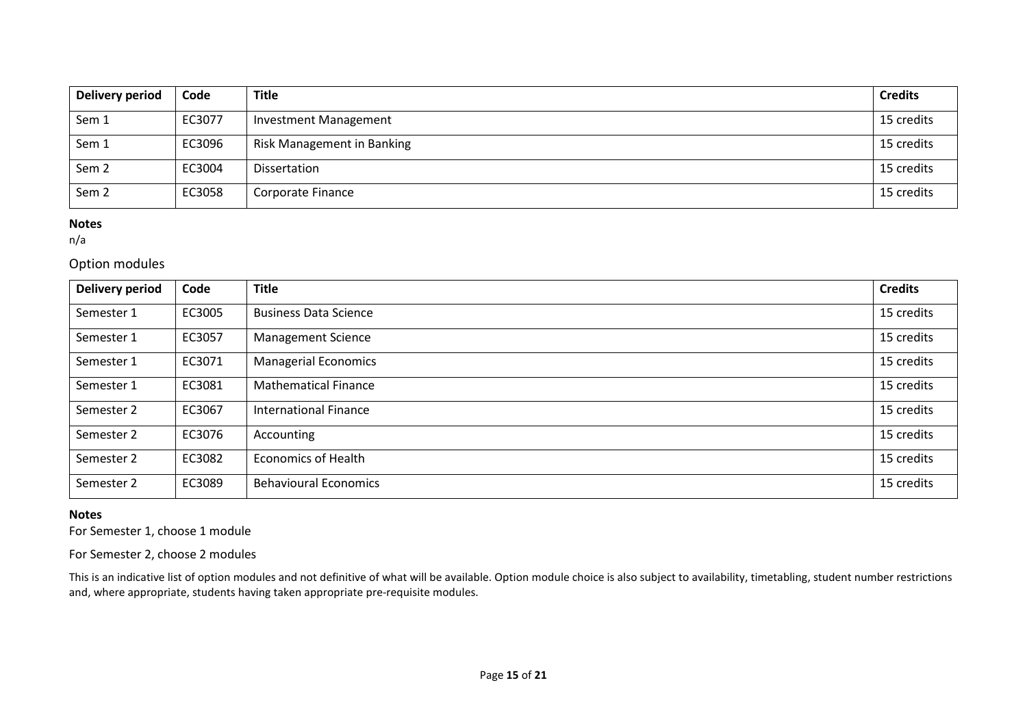| <b>Delivery period</b> | Code   | <b>Title</b>                 | <b>Credits</b> |
|------------------------|--------|------------------------------|----------------|
| Sem 1                  | EC3077 | <b>Investment Management</b> | 15 credits     |
| Sem 1                  | EC3096 | Risk Management in Banking   | 15 credits     |
| Sem <sub>2</sub>       | EC3004 | Dissertation                 | 15 credits     |
| Sem <sub>2</sub>       | EC3058 | Corporate Finance            | 15 credits     |

#### **Notes**

n/a

#### Option modules

| Delivery period | Code   | <b>Title</b>                 | <b>Credits</b> |
|-----------------|--------|------------------------------|----------------|
| Semester 1      | EC3005 | <b>Business Data Science</b> | 15 credits     |
| Semester 1      | EC3057 | <b>Management Science</b>    | 15 credits     |
| Semester 1      | EC3071 | <b>Managerial Economics</b>  | 15 credits     |
| Semester 1      | EC3081 | <b>Mathematical Finance</b>  | 15 credits     |
| Semester 2      | EC3067 | <b>International Finance</b> | 15 credits     |
| Semester 2      | EC3076 | Accounting                   | 15 credits     |
| Semester 2      | EC3082 | <b>Economics of Health</b>   | 15 credits     |
| Semester 2      | EC3089 | <b>Behavioural Economics</b> | 15 credits     |

#### **Notes**

For Semester 1, choose 1 module

For Semester 2, choose 2 modules

This is an indicative list of option modules and not definitive of what will be available. Option module choice is also subject to availability, timetabling, student number restrictions and, where appropriate, students having taken appropriate pre-requisite modules.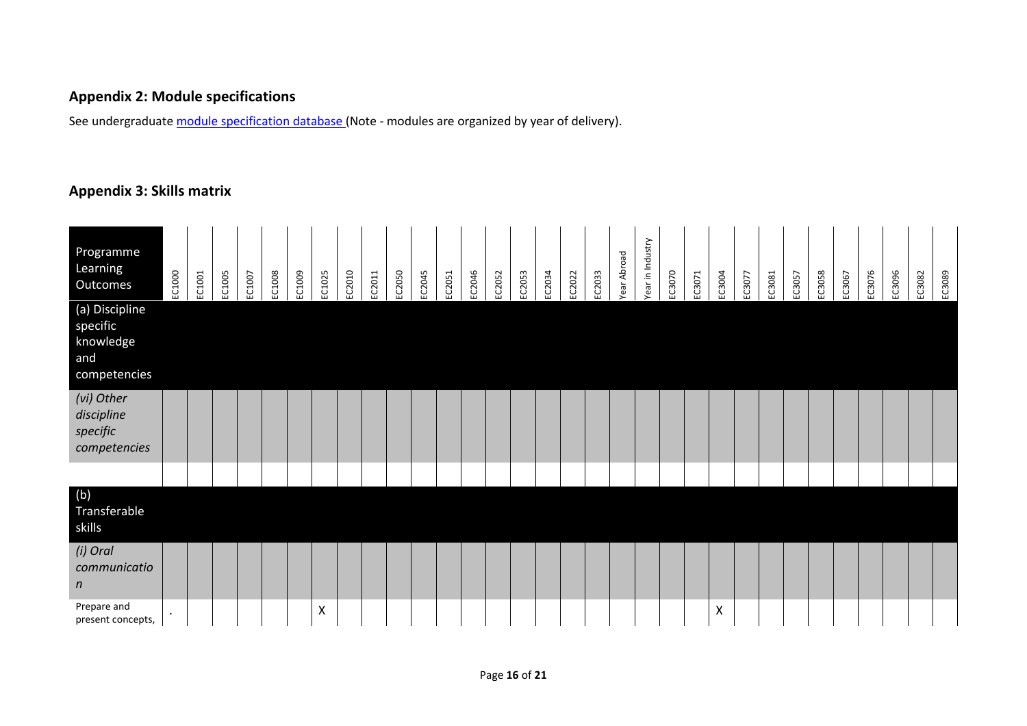# **Appendix 2: Module specifications**

See undergraduat[e module specification database](http://www.le.ac.uk/sas/courses/documentation) (Note - modules are organized by year of delivery).

### **Appendix 3: Skills matrix**

| Programme<br>Learning<br>Outcomes                              | EC1000 | EC1001 | EC1005 | EC1007 | EC1008 | EC1009 | EC1025 | EC2010 | EC2011 | EC2050 | EC2045 | EC2051 | EC2046 | EC2052 | EC2053 | EC2034 | EC2022 | EC2033 | ear Abroad | ear in Industry | EC3070 | EC3071 | EC3004 | EC3077 | EC3081 | EC3057 | EC3058 | EC3067 | EC3076 | EC3096 | EC3082 | EC3089 |
|----------------------------------------------------------------|--------|--------|--------|--------|--------|--------|--------|--------|--------|--------|--------|--------|--------|--------|--------|--------|--------|--------|------------|-----------------|--------|--------|--------|--------|--------|--------|--------|--------|--------|--------|--------|--------|
| (a) Discipline<br>specific<br>knowledge<br>and<br>competencies |        |        |        |        |        |        |        |        |        |        |        |        |        |        |        |        |        |        |            |                 |        |        |        |        |        |        |        |        |        |        |        |        |
| (vi) Other<br>discipline<br>specific<br>competencies           |        |        |        |        |        |        |        |        |        |        |        |        |        |        |        |        |        |        |            |                 |        |        |        |        |        |        |        |        |        |        |        |        |
|                                                                |        |        |        |        |        |        |        |        |        |        |        |        |        |        |        |        |        |        |            |                 |        |        |        |        |        |        |        |        |        |        |        |        |
| (b)<br>Transferable<br>skills                                  |        |        |        |        |        |        |        |        |        |        |        |        |        |        |        |        |        |        |            |                 |        |        |        |        |        |        |        |        |        |        |        |        |
| (i) Oral<br>communicatio<br>$\boldsymbol{n}$                   |        |        |        |        |        |        |        |        |        |        |        |        |        |        |        |        |        |        |            |                 |        |        |        |        |        |        |        |        |        |        |        |        |
| Prepare and<br>present concepts,                               |        |        |        |        |        |        | X      |        |        |        |        |        |        |        |        |        |        |        |            |                 |        |        | X      |        |        |        |        |        |        |        |        |        |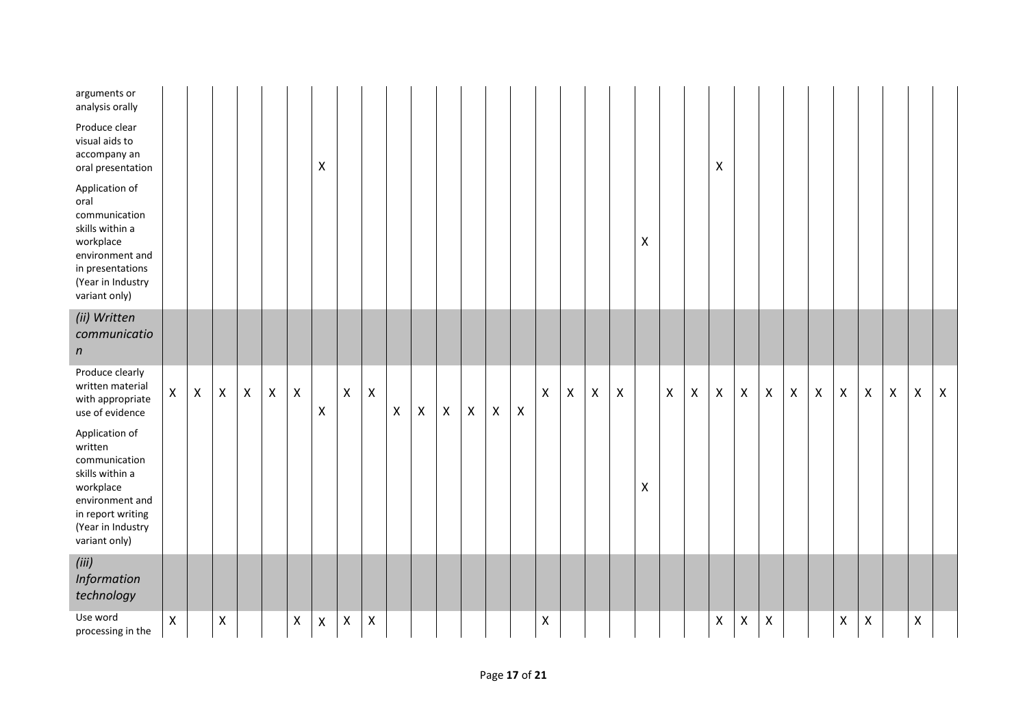| arguments or<br>analysis orally                                                                                                                          |                    |                           |                |                |                |                    |                  |                           |                    |                |   |                           |                    |                    |                |              |                |                    |                    |   |   |                |                |                    |                |                |                |                    |                    |                    |                    |                    |
|----------------------------------------------------------------------------------------------------------------------------------------------------------|--------------------|---------------------------|----------------|----------------|----------------|--------------------|------------------|---------------------------|--------------------|----------------|---|---------------------------|--------------------|--------------------|----------------|--------------|----------------|--------------------|--------------------|---|---|----------------|----------------|--------------------|----------------|----------------|----------------|--------------------|--------------------|--------------------|--------------------|--------------------|
| Produce clear<br>visual aids to<br>accompany an<br>oral presentation                                                                                     |                    |                           |                |                |                |                    | $\mathsf{X}$     |                           |                    |                |   |                           |                    |                    |                |              |                |                    |                    |   |   |                | X              |                    |                |                |                |                    |                    |                    |                    |                    |
| Application of<br>oral<br>communication<br>skills within a<br>workplace<br>environment and<br>in presentations<br>(Year in Industry<br>variant only)     |                    |                           |                |                |                |                    |                  |                           |                    |                |   |                           |                    |                    |                |              |                |                    |                    | X |   |                |                |                    |                |                |                |                    |                    |                    |                    |                    |
| (ii) Written<br>communicatio<br>$\boldsymbol{n}$                                                                                                         |                    |                           |                |                |                |                    |                  |                           |                    |                |   |                           |                    |                    |                |              |                |                    |                    |   |   |                |                |                    |                |                |                |                    |                    |                    |                    |                    |
| Produce clearly<br>written material<br>with appropriate<br>use of evidence                                                                               | $\mathsf{X}$       | $\boldsymbol{\mathsf{X}}$ | $\pmb{\times}$ | $\pmb{\times}$ | $\pmb{\times}$ | $\pmb{\mathsf{X}}$ | $\boldsymbol{X}$ | $\pmb{\mathsf{X}}$        | $\pmb{\mathsf{X}}$ | $\pmb{\times}$ | X | $\boldsymbol{\mathsf{X}}$ | $\pmb{\mathsf{X}}$ | $\pmb{\mathsf{X}}$ | $\pmb{\times}$ | $\mathsf{X}$ | $\pmb{\times}$ | $\pmb{\mathsf{X}}$ | $\pmb{\mathsf{X}}$ |   | X | $\pmb{\times}$ | $\pmb{\times}$ | $\pmb{\mathsf{X}}$ | $\mathsf X$    | $\pmb{\times}$ | $\pmb{\times}$ | $\pmb{\mathsf{X}}$ | $\pmb{\mathsf{X}}$ | $\pmb{\mathsf{X}}$ | $\pmb{\mathsf{X}}$ | $\pmb{\mathsf{X}}$ |
| Application of<br>written<br>communication<br>skills within a<br>workplace<br>environment and<br>in report writing<br>(Year in Industry<br>variant only) |                    |                           |                |                |                |                    |                  |                           |                    |                |   |                           |                    |                    |                |              |                |                    |                    | X |   |                |                |                    |                |                |                |                    |                    |                    |                    |                    |
| (iii)<br>Information<br>technology                                                                                                                       |                    |                           |                |                |                |                    |                  |                           |                    |                |   |                           |                    |                    |                |              |                |                    |                    |   |   |                |                |                    |                |                |                |                    |                    |                    |                    |                    |
| Use word<br>processing in the                                                                                                                            | $\pmb{\mathsf{X}}$ |                           | $\pmb{\times}$ |                |                | $\mathsf X$        | $\pmb{\times}$   | $\boldsymbol{\mathsf{X}}$ | $\pmb{\mathsf{X}}$ |                |   |                           |                    |                    |                | X            |                |                    |                    |   |   |                | X              | $\pmb{\times}$     | $\pmb{\times}$ |                |                | $\mathsf{X}$       | $\pmb{\times}$     |                    | $\pmb{\mathsf{X}}$ |                    |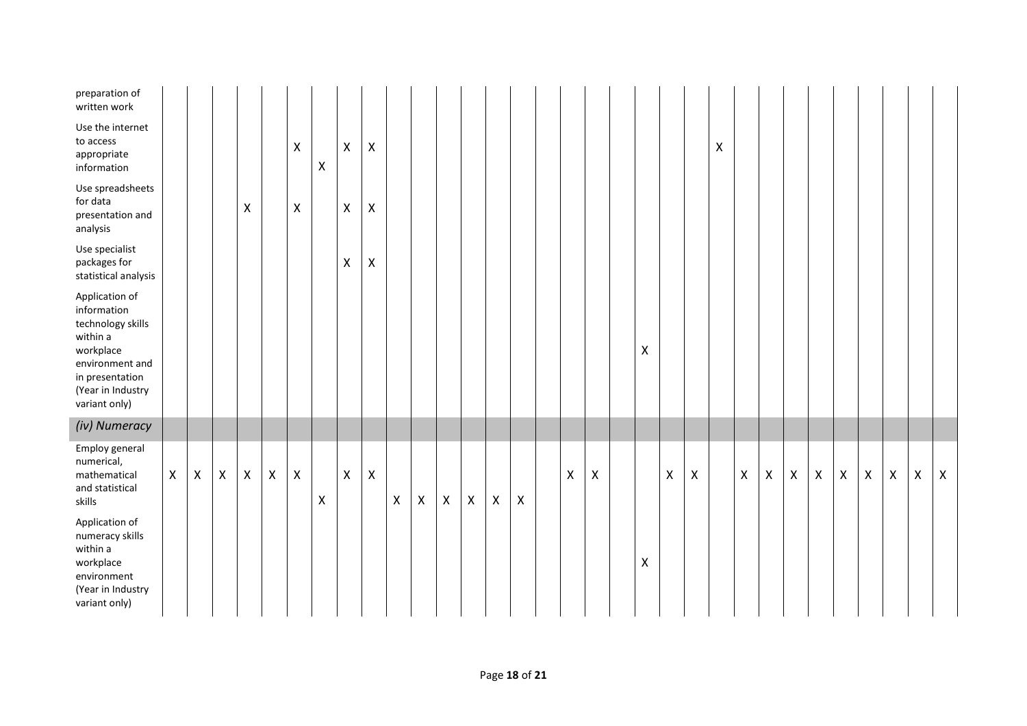| preparation of<br>written work                                                                                                                          |   |   |                           |                |              |                           |   |                           |                    |              |   |                |                           |                    |                |   |   |                |   |   |                    |                           |              |                |              |                |                |                |                |                           |
|---------------------------------------------------------------------------------------------------------------------------------------------------------|---|---|---------------------------|----------------|--------------|---------------------------|---|---------------------------|--------------------|--------------|---|----------------|---------------------------|--------------------|----------------|---|---|----------------|---|---|--------------------|---------------------------|--------------|----------------|--------------|----------------|----------------|----------------|----------------|---------------------------|
| Use the internet<br>to access<br>appropriate<br>information                                                                                             |   |   |                           |                |              | $\boldsymbol{\mathsf{X}}$ | X | X                         | $\pmb{\mathsf{X}}$ |              |   |                |                           |                    |                |   |   |                |   |   | $\pmb{\mathsf{X}}$ |                           |              |                |              |                |                |                |                |                           |
| Use spreadsheets<br>for data<br>presentation and<br>analysis                                                                                            |   |   |                           | X              |              | X                         |   | $\boldsymbol{\mathsf{X}}$ | $\pmb{\mathsf{X}}$ |              |   |                |                           |                    |                |   |   |                |   |   |                    |                           |              |                |              |                |                |                |                |                           |
| Use specialist<br>packages for<br>statistical analysis                                                                                                  |   |   |                           |                |              |                           |   | $\boldsymbol{\mathsf{X}}$ | $\pmb{\mathsf{X}}$ |              |   |                |                           |                    |                |   |   |                |   |   |                    |                           |              |                |              |                |                |                |                |                           |
| Application of<br>information<br>technology skills<br>within a<br>workplace<br>environment and<br>in presentation<br>(Year in Industry<br>variant only) |   |   |                           |                |              |                           |   |                           |                    |              |   |                |                           |                    |                |   |   | X              |   |   |                    |                           |              |                |              |                |                |                |                |                           |
| (iv) Numeracy                                                                                                                                           |   |   |                           |                |              |                           |   |                           |                    |              |   |                |                           |                    |                |   |   |                |   |   |                    |                           |              |                |              |                |                |                |                |                           |
| Employ general<br>numerical,<br>mathematical<br>and statistical<br>skills                                                                               | X | X | $\boldsymbol{\mathsf{X}}$ | $\pmb{\times}$ | $\mathsf{X}$ | X                         | X | $\boldsymbol{\mathsf{X}}$ | $\pmb{\mathsf{X}}$ | $\mathsf{X}$ | X | $\pmb{\times}$ | $\boldsymbol{\mathsf{X}}$ | $\pmb{\mathsf{X}}$ | $\pmb{\times}$ | X | Χ |                | X | X |                    | $\boldsymbol{\mathsf{X}}$ | $\mathsf{X}$ | $\pmb{\times}$ | $\mathsf{X}$ | $\pmb{\times}$ | $\pmb{\times}$ | $\pmb{\times}$ | $\pmb{\times}$ | $\boldsymbol{\mathsf{X}}$ |
| Application of<br>numeracy skills<br>within a<br>workplace<br>environment<br>(Year in Industry<br>variant only)                                         |   |   |                           |                |              |                           |   |                           |                    |              |   |                |                           |                    |                |   |   | $\pmb{\times}$ |   |   |                    |                           |              |                |              |                |                |                |                |                           |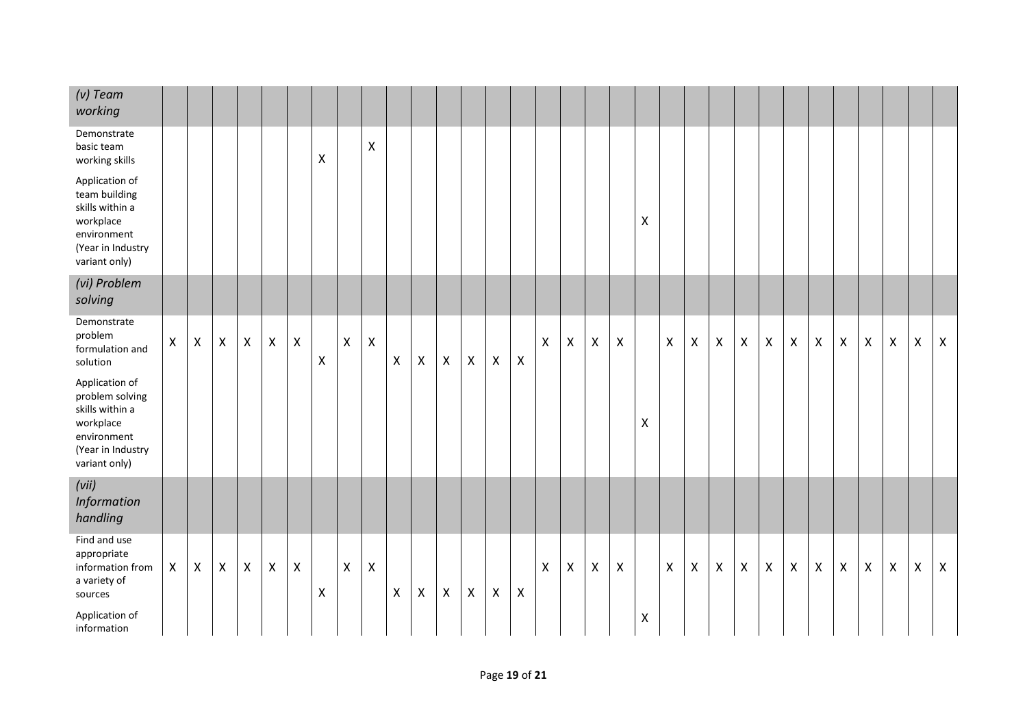| $(v)$ Team<br>working                                                                                                  |              |                           |                    |              |   |                |                    |                    |                |                    |   |                |                           |                    |                           |              |                |                |                |   |                    |   |                           |                           |                |                |                    |                |                |                    |                |              |
|------------------------------------------------------------------------------------------------------------------------|--------------|---------------------------|--------------------|--------------|---|----------------|--------------------|--------------------|----------------|--------------------|---|----------------|---------------------------|--------------------|---------------------------|--------------|----------------|----------------|----------------|---|--------------------|---|---------------------------|---------------------------|----------------|----------------|--------------------|----------------|----------------|--------------------|----------------|--------------|
| Demonstrate<br>basic team<br>working skills                                                                            |              |                           |                    |              |   |                | Χ                  |                    | X              |                    |   |                |                           |                    |                           |              |                |                |                |   |                    |   |                           |                           |                |                |                    |                |                |                    |                |              |
| Application of<br>team building<br>skills within a<br>workplace<br>environment<br>(Year in Industry<br>variant only)   |              |                           |                    |              |   |                |                    |                    |                |                    |   |                |                           |                    |                           |              |                |                |                | Χ |                    |   |                           |                           |                |                |                    |                |                |                    |                |              |
| (vi) Problem<br>solving                                                                                                |              |                           |                    |              |   |                |                    |                    |                |                    |   |                |                           |                    |                           |              |                |                |                |   |                    |   |                           |                           |                |                |                    |                |                |                    |                |              |
| Demonstrate<br>problem<br>formulation and<br>solution                                                                  | $\mathsf{X}$ | $\boldsymbol{\mathsf{X}}$ | $\pmb{\mathsf{X}}$ | $\mathsf{X}$ | X | X              | $\pmb{\mathsf{X}}$ | $\pmb{\mathsf{X}}$ | $\pmb{\times}$ | $\pmb{\times}$     | X | $\pmb{\times}$ | $\pmb{\times}$            | $\pmb{\mathsf{X}}$ | $\boldsymbol{\mathsf{X}}$ | $\mathsf{X}$ | $\pmb{\times}$ | $\pmb{\times}$ | $\pmb{\times}$ |   | $\pmb{\mathsf{X}}$ | X | $\boldsymbol{\mathsf{X}}$ | $\boldsymbol{\mathsf{X}}$ | $\pmb{\times}$ | $\pmb{\times}$ | $\pmb{\mathsf{X}}$ | $\pmb{\times}$ | $\pmb{\times}$ | $\pmb{\mathsf{X}}$ | $\mathsf{X}$   | $\mathsf{X}$ |
| Application of<br>problem solving<br>skills within a<br>workplace<br>environment<br>(Year in Industry<br>variant only) |              |                           |                    |              |   |                |                    |                    |                |                    |   |                |                           |                    |                           |              |                |                |                | X |                    |   |                           |                           |                |                |                    |                |                |                    |                |              |
| (vii)<br>Information<br>handling                                                                                       |              |                           |                    |              |   |                |                    |                    |                |                    |   |                |                           |                    |                           |              |                |                |                |   |                    |   |                           |                           |                |                |                    |                |                |                    |                |              |
| Find and use<br>appropriate<br>information from<br>a variety of<br>sources                                             | $\mathsf{X}$ | $\mathsf{X}$              | $\mathsf{X}$       | $\mathsf{X}$ | X | $\pmb{\times}$ | Χ                  | $\pmb{\mathsf{X}}$ | $\mathsf X$    | $\pmb{\mathsf{X}}$ | X | $\pmb{\times}$ | $\boldsymbol{\mathsf{X}}$ | $\pmb{\mathsf{X}}$ | $\pmb{\times}$            | $\mathsf{X}$ | $\mathsf{X}$   | $\pmb{\times}$ | $\pmb{\times}$ |   | $\pmb{\times}$     | X | $\boldsymbol{X}$          | $\pmb{\times}$            | $\pmb{\times}$ | $\mathsf{X}$   | $\mathsf{X}$       | $\pmb{\times}$ | $\pmb{\times}$ | $\mathsf X$        | $\pmb{\times}$ | X            |
| Application of<br>information                                                                                          |              |                           |                    |              |   |                |                    |                    |                |                    |   |                |                           |                    |                           |              |                |                |                | Χ |                    |   |                           |                           |                |                |                    |                |                |                    |                |              |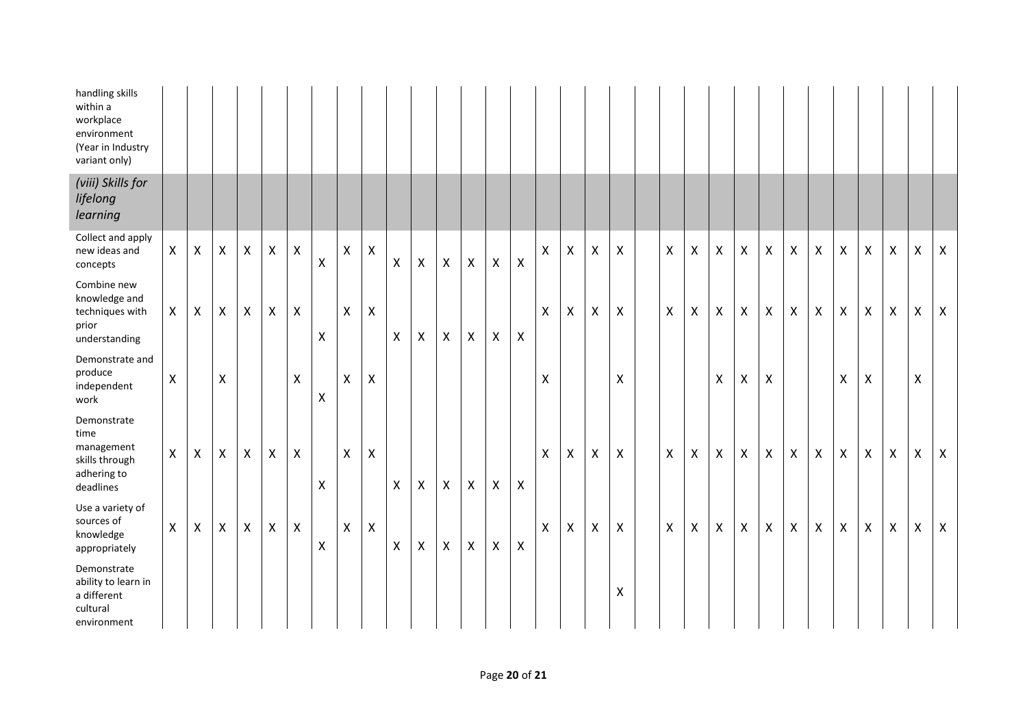| handling skills<br>within a<br>workplace<br>environment<br>(Year in Industry<br>variant only) |   |                           |   |                    |                |                    |                    |                    |                |              |                           |                           |                |              |                |                           |                           |                           |                    |                    |                           |                    |                           |                    |                |                           |                    |                           |                    |                    |              |
|-----------------------------------------------------------------------------------------------|---|---------------------------|---|--------------------|----------------|--------------------|--------------------|--------------------|----------------|--------------|---------------------------|---------------------------|----------------|--------------|----------------|---------------------------|---------------------------|---------------------------|--------------------|--------------------|---------------------------|--------------------|---------------------------|--------------------|----------------|---------------------------|--------------------|---------------------------|--------------------|--------------------|--------------|
| (viii) Skills for<br>lifelong<br>learning                                                     |   |                           |   |                    |                |                    |                    |                    |                |              |                           |                           |                |              |                |                           |                           |                           |                    |                    |                           |                    |                           |                    |                |                           |                    |                           |                    |                    |              |
| Collect and apply<br>new ideas and<br>concepts                                                | X | X                         | X | $\pmb{\mathsf{X}}$ | X              | $\pmb{\mathsf{X}}$ | $\pmb{\mathsf{X}}$ | $\pmb{\mathsf{X}}$ | $\pmb{\times}$ | X            | X                         | $\pmb{\mathsf{X}}$        | $\mathsf{X}$   | $\mathsf{X}$ | $\pmb{\times}$ | $\mathsf{X}$              | $\pmb{\times}$            | $\pmb{\times}$            | X                  | $\pmb{\mathsf{X}}$ | $\pmb{\mathsf{X}}$        | $\pmb{\mathsf{X}}$ | $\pmb{\times}$            | $\pmb{\times}$     | $\pmb{\times}$ | $\pmb{\mathsf{X}}$        | $\pmb{\mathsf{X}}$ | $\pmb{\times}$            | X                  | $\pmb{\mathsf{X}}$ | $\mathsf{X}$ |
| Combine new<br>knowledge and<br>techniques with<br>prior<br>understanding                     | X | X                         | X | $\pmb{\mathsf{X}}$ | $\pmb{\times}$ | $\pmb{\mathsf{X}}$ | $\pmb{\times}$     | $\mathsf{X}$       | $\pmb{\times}$ | X            | X                         | $\boldsymbol{\mathsf{X}}$ | $\pmb{\times}$ | $\mathsf{X}$ | $\pmb{\times}$ | X                         | $\pmb{\times}$            | $\pmb{\times}$            | $\mathsf{X}$       | X                  | $\boldsymbol{\mathsf{X}}$ | $\pmb{\times}$     | $\boldsymbol{\mathsf{X}}$ | $\pmb{\times}$     | $\mathsf{X}$   | $\boldsymbol{\mathsf{X}}$ | $\pmb{\mathsf{X}}$ | $\boldsymbol{\mathsf{X}}$ | X                  | X                  | $\mathsf{X}$ |
| Demonstrate and<br>produce<br>independent<br>work                                             | Χ |                           | X |                    |                | X                  | $\pmb{\mathsf{X}}$ | $\mathsf X$        | X              |              |                           |                           |                |              |                | Χ                         |                           |                           | Χ                  |                    |                           | $\pmb{\mathsf{X}}$ | $\mathsf X$               | $\pmb{\mathsf{X}}$ |                |                           | $\pmb{\mathsf{X}}$ | $\mathsf X$               |                    | $\pmb{\mathsf{X}}$ |              |
| Demonstrate<br>time<br>management<br>skills through<br>adhering to<br>deadlines               | X | $\boldsymbol{\mathsf{X}}$ | X | $\mathsf{X}$       | X              | $\pmb{\mathsf{X}}$ | $\pmb{\times}$     | $\mathsf{X}$       | $\mathsf{X}$   | $\mathsf{X}$ | $\boldsymbol{\mathsf{X}}$ | $\mathsf{X}$              | $\mathsf{X}$   | $\mathsf{X}$ | $\pmb{\times}$ | $\boldsymbol{\mathsf{X}}$ | $\boldsymbol{\mathsf{X}}$ | $\boldsymbol{\mathsf{X}}$ | $\pmb{\times}$     | X                  | $\boldsymbol{\mathsf{X}}$ | X                  | $\boldsymbol{\mathsf{X}}$ | $\pmb{\times}$     | $\pmb{\times}$ | $\pmb{\mathsf{X}}$        | $\mathsf{X}$       | $\boldsymbol{\mathsf{X}}$ | $\pmb{\mathsf{X}}$ | X                  | $\mathsf{X}$ |
| Use a variety of<br>sources of<br>knowledge<br>appropriately                                  | X | X                         | X | $\mathsf{X}$       | $\pmb{\times}$ | $\pmb{\mathsf{X}}$ | $\pmb{\mathsf{X}}$ | $\pmb{\mathsf{X}}$ | $\pmb{\times}$ | X            | $\boldsymbol{\mathsf{X}}$ | $\boldsymbol{\mathsf{X}}$ | $\mathsf{X}$   | $\mathsf X$  | $\pmb{\times}$ | $\mathsf{X}$              | $\pmb{\times}$            | $\pmb{\times}$            | $\pmb{\times}$     | X                  | Χ                         | $\mathsf{X}$       | $\pmb{\times}$            | $\pmb{\times}$     | $\pmb{\times}$ | $\pmb{\mathsf{X}}$        | $\pmb{\mathsf{X}}$ | $\pmb{\times}$            | X                  | X                  | $\mathsf{X}$ |
| Demonstrate<br>ability to learn in<br>a different<br>cultural<br>environment                  |   |                           |   |                    |                |                    |                    |                    |                |              |                           |                           |                |              |                |                           |                           |                           | $\pmb{\mathsf{X}}$ |                    |                           |                    |                           |                    |                |                           |                    |                           |                    |                    |              |